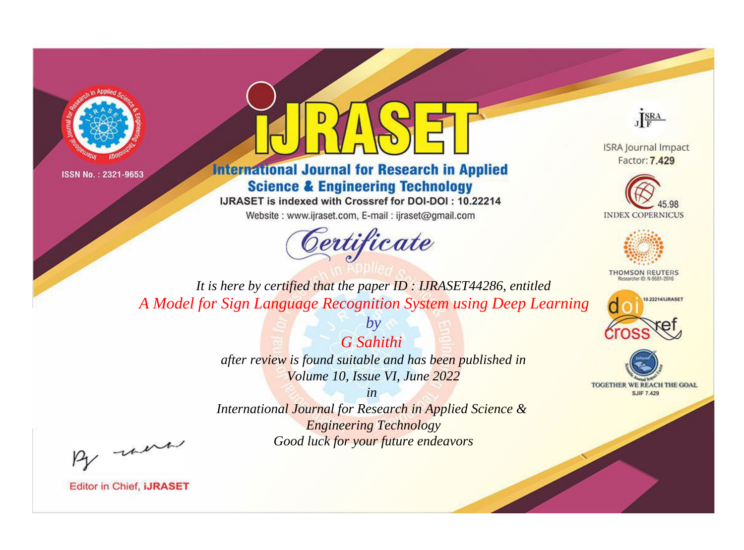



**International Journal for Research in Applied Science & Engineering Technology** 

IJRASET is indexed with Crossref for DOI-DOI: 10.22214

Website: www.ijraset.com, E-mail: ijraset@gmail.com



JERA

**ISRA Journal Impact** Factor: 7.429





**THOMSON REUTERS** 



TOGETHER WE REACH THE GOAL **SJIF 7.429** 

*It is here by certified that the paper ID : IJRASET44286, entitled A Model for Sign Language Recognition System using Deep Learning*

> *G Sahithi after review is found suitable and has been published in Volume 10, Issue VI, June 2022*

*by*

*in* 

*International Journal for Research in Applied Science & Engineering Technology Good luck for your future endeavors*

By morn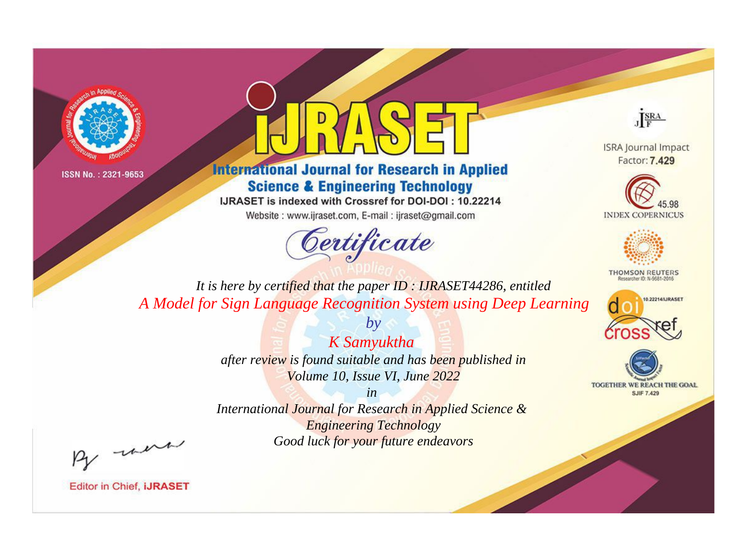



**International Journal for Research in Applied Science & Engineering Technology** 

IJRASET is indexed with Crossref for DOI-DOI: 10.22214

Website: www.ijraset.com, E-mail: ijraset@gmail.com



JERA

**ISRA Journal Impact** Factor: 7.429





**THOMSON REUTERS** 



TOGETHER WE REACH THE GOAL **SJIF 7.429** 

*It is here by certified that the paper ID : IJRASET44286, entitled A Model for Sign Language Recognition System using Deep Learning*

> *K Samyuktha after review is found suitable and has been published in Volume 10, Issue VI, June 2022*

*by*

*in* 

*International Journal for Research in Applied Science & Engineering Technology Good luck for your future endeavors*

By morn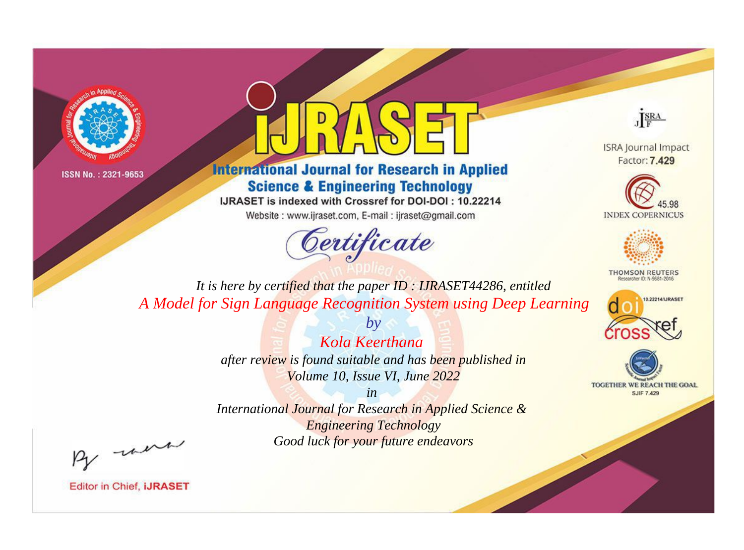



**International Journal for Research in Applied Science & Engineering Technology** 

IJRASET is indexed with Crossref for DOI-DOI: 10.22214

Website: www.ijraset.com, E-mail: ijraset@gmail.com



JERA

**ISRA Journal Impact** Factor: 7.429





**THOMSON REUTERS** 



TOGETHER WE REACH THE GOAL **SJIF 7.429** 

*It is here by certified that the paper ID : IJRASET44286, entitled A Model for Sign Language Recognition System using Deep Learning*

> *Kola Keerthana after review is found suitable and has been published in Volume 10, Issue VI, June 2022*

*by*

*in* 

*International Journal for Research in Applied Science & Engineering Technology Good luck for your future endeavors*

By morn